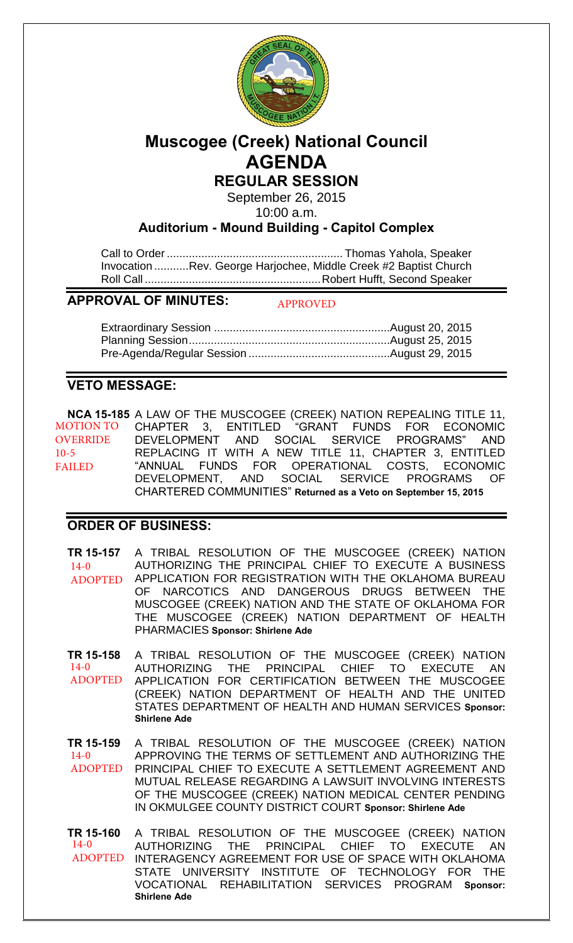

# **Muscogee (Creek) National Council AGENDA**

# **REGULAR SESSION**

September 26, 2015 10:00 a.m.

**Auditorium - Mound Building - Capitol Complex**

Call to Order ........................................................ Thomas Yahola, Speaker Invocation ........... Rev. George Harjochee, Middle Creek #2 Baptist Church Roll Call ........................................................ Robert Hufft, Second Speaker

### **APPROVAL OF MINUTES:**

APPROVED

# **VETO MESSAGE:**

**NCA 15-185** A LAW OF THE MUSCOGEE (CREEK) NATION REPEALING TITLE 11, CHAPTER 3, ENTITLED "GRANT FUNDS FOR ECONOMIC DEVELOPMENT AND SOCIAL SERVICE PROGRAMS" AND REPLACING IT WITH A NEW TITLE 11, CHAPTER 3, ENTITLED "ANNUAL FUNDS FOR OPERATIONAL COSTS, ECONOMIC DEVELOPMENT, AND SOCIAL SERVICE PROGRAMS OF CHARTERED COMMUNITIES" **Returned as a Veto on September 15, 2015** MOTION TO OVERRIDE 10-5 FAILED

## **ORDER OF BUSINESS:**

**TR 15-157** A TRIBAL RESOLUTION OF THE MUSCOGEE (CREEK) NATION AUTHORIZING THE PRINCIPAL CHIEF TO EXECUTE A BUSINESS APPLICATION FOR REGISTRATION WITH THE OKLAHOMA BUREAU OF NARCOTICS AND DANGEROUS DRUGS BETWEEN THE MUSCOGEE (CREEK) NATION AND THE STATE OF OKLAHOMA FOR THE MUSCOGEE (CREEK) NATION DEPARTMENT OF HEALTH PHARMACIES **Sponsor: Shirlene Ade** 14-0 ADOPTED

**TR 15-158** A TRIBAL RESOLUTION OF THE MUSCOGEE (CREEK) NATION AUTHORIZING THE PRINCIPAL CHIEF TO EXECUTE AN APPLICATION FOR CERTIFICATION BETWEEN THE MUSCOGEE (CREEK) NATION DEPARTMENT OF HEALTH AND THE UNITED STATES DEPARTMENT OF HEALTH AND HUMAN SERVICES **Sponsor: Shirlene Ade** 14-0 ADOPTED

**TR 15-159** A TRIBAL RESOLUTION OF THE MUSCOGEE (CREEK) NATION APPROVING THE TERMS OF SETTLEMENT AND AUTHORIZING THE PRINCIPAL CHIEF TO EXECUTE A SETTLEMENT AGREEMENT AND MUTUAL RELEASE REGARDING A LAWSUIT INVOLVING INTERESTS OF THE MUSCOGEE (CREEK) NATION MEDICAL CENTER PENDING IN OKMULGEE COUNTY DISTRICT COURT **Sponsor: Shirlene Ade**  $14-0$ ADOPTED

**TR 15-160** A TRIBAL RESOLUTION OF THE MUSCOGEE (CREEK) NATION AUTHORIZING THE PRINCIPAL CHIEF TO EXECUTE AN INTERAGENCY AGREEMENT FOR USE OF SPACE WITH OKLAHOMA STATE UNIVERSITY INSTITUTE OF TECHNOLOGY FOR THE VOCATIONAL REHABILITATION SERVICES PROGRAM **Sponsor: Shirlene Ade** 14-0 ADOPTED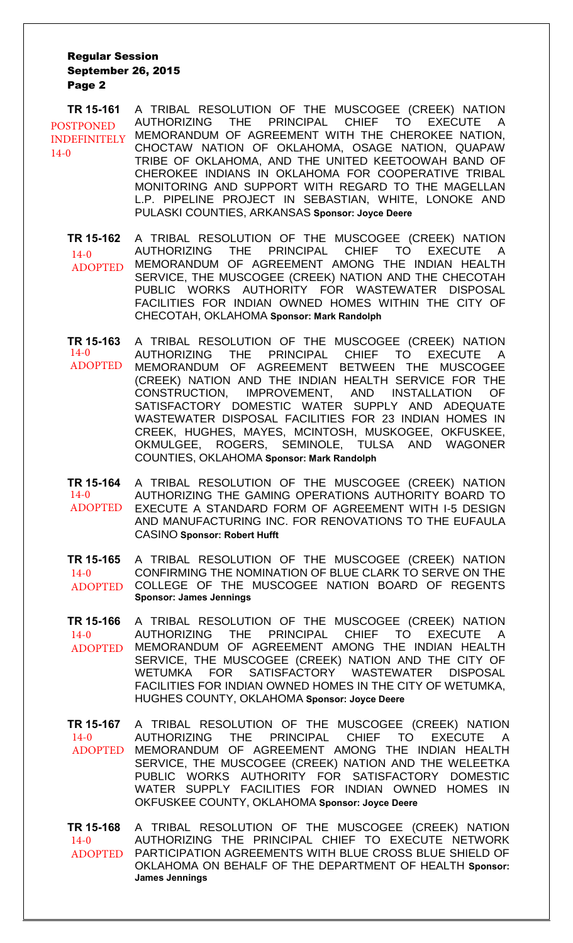#### Regular Session September 26, 2015 Page 2

**TR 15-161** A TRIBAL RESOLUTION OF THE MUSCOGEE (CREEK) NATION AUTHORIZING THE PRINCIPAL CHIEF TO EXECUTE A MEMORANDUM OF AGREEMENT WITH THE CHEROKEE NATION, CHOCTAW NATION OF OKLAHOMA, OSAGE NATION, QUAPAW TRIBE OF OKLAHOMA, AND THE UNITED KEETOOWAH BAND OF CHEROKEE INDIANS IN OKLAHOMA FOR COOPERATIVE TRIBAL MONITORING AND SUPPORT WITH REGARD TO THE MAGELLAN L.P. PIPELINE PROJECT IN SEBASTIAN, WHITE, LONOKE AND PULASKI COUNTIES, ARKANSAS **Sponsor: Joyce Deere** POSTPONED INDEFINITELY 14-0

**TR 15-162** A TRIBAL RESOLUTION OF THE MUSCOGEE (CREEK) NATION AUTHORIZING THE PRINCIPAL CHIEF TO EXECUTE A MEMORANDUM OF AGREEMENT AMONG THE INDIAN HEALTH SERVICE, THE MUSCOGEE (CREEK) NATION AND THE CHECOTAH PUBLIC WORKS AUTHORITY FOR WASTEWATER DISPOSAL FACILITIES FOR INDIAN OWNED HOMES WITHIN THE CITY OF CHECOTAH, OKLAHOMA **Sponsor: Mark Randolph**  $14-0$ ADOPTED

**TR 15-163** A TRIBAL RESOLUTION OF THE MUSCOGEE (CREEK) NATION AUTHORIZING THE PRINCIPAL CHIEF TO EXECUTE A MEMORANDUM OF AGREEMENT BETWEEN THE MUSCOGEE (CREEK) NATION AND THE INDIAN HEALTH SERVICE FOR THE CONSTRUCTION, IMPROVEMENT, AND INSTALLATION OF SATISFACTORY DOMESTIC WATER SUPPLY AND ADEQUATE WASTEWATER DISPOSAL FACILITIES FOR 23 INDIAN HOMES IN CREEK, HUGHES, MAYES, MCINTOSH, MUSKOGEE, OKFUSKEE, OKMULGEE, ROGERS, SEMINOLE, TULSA AND WAGONER COUNTIES, OKLAHOMA **Sponsor: Mark Randolph** 14-0 ADOPTED

**TR 15-164** A TRIBAL RESOLUTION OF THE MUSCOGEE (CREEK) NATION AUTHORIZING THE GAMING OPERATIONS AUTHORITY BOARD TO EXECUTE A STANDARD FORM OF AGREEMENT WITH I-5 DESIGN AND MANUFACTURING INC. FOR RENOVATIONS TO THE EUFAULA CASINO **Sponsor: Robert Hufft**   $14-0$ ADOPTED

**TR 15-165** A TRIBAL RESOLUTION OF THE MUSCOGEE (CREEK) NATION CONFIRMING THE NOMINATION OF BLUE CLARK TO SERVE ON THE COLLEGE OF THE MUSCOGEE NATION BOARD OF REGENTS **Sponsor: James Jennings**  $14 - 0$ ADOPTED

**TR 15-166** A TRIBAL RESOLUTION OF THE MUSCOGEE (CREEK) NATION AUTHORIZING THE PRINCIPAL CHIEF TO EXECUTE A MEMORANDUM OF AGREEMENT AMONG THE INDIAN HEALTH SERVICE, THE MUSCOGEE (CREEK) NATION AND THE CITY OF WETUMKA FOR SATISFACTORY WASTEWATER DISPOSAL FACILITIES FOR INDIAN OWNED HOMES IN THE CITY OF WETUMKA, HUGHES COUNTY, OKLAHOMA **Sponsor: Joyce Deere**  $14-0$ ADOPTED

**TR 15-167** A TRIBAL RESOLUTION OF THE MUSCOGEE (CREEK) NATION AUTHORIZING THE PRINCIPAL CHIEF TO EXECUTE A MEMORANDUM OF AGREEMENT AMONG THE INDIAN HEALTH SERVICE, THE MUSCOGEE (CREEK) NATION AND THE WELEETKA PUBLIC WORKS AUTHORITY FOR SATISFACTORY DOMESTIC WATER SUPPLY FACILITIES FOR INDIAN OWNED HOMES IN OKFUSKEE COUNTY, OKLAHOMA **Sponsor: Joyce Deere** 14-0 ADOPTED

**TR 15-168** A TRIBAL RESOLUTION OF THE MUSCOGEE (CREEK) NATION AUTHORIZING THE PRINCIPAL CHIEF TO EXECUTE NETWORK ADOPTED PARTICIPATION AGREEMENTS WITH BLUE CROSS BLUE SHIELD OF OKLAHOMA ON BEHALF OF THE DEPARTMENT OF HEALTH **Sponsor: James Jennings**  $14 - 0$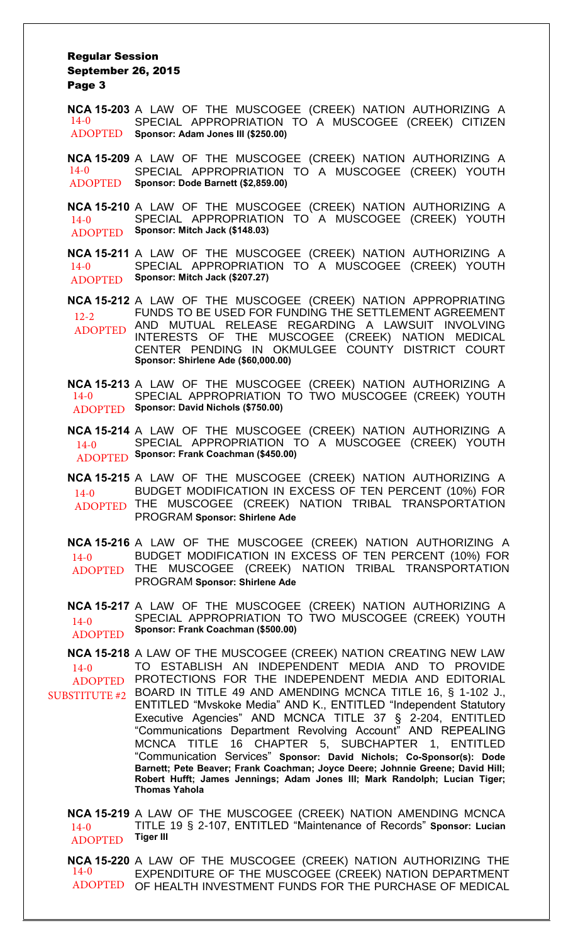#### Regular Session September 26, 2015 Page 3

**NCA 15-203** A LAW OF THE MUSCOGEE (CREEK) NATION AUTHORIZING A SPECIAL APPROPRIATION TO A MUSCOGEE (CREEK) CITIZEN **Sponsor: Adam Jones III (\$250.00)** 14-0 ADOPTED

**NCA 15-209** A LAW OF THE MUSCOGEE (CREEK) NATION AUTHORIZING A SPECIAL APPROPRIATION TO A MUSCOGEE (CREEK) YOUTH **Sponsor: Dode Barnett (\$2,859.00)** 14-0 ADOPTED

**NCA 15-210** A LAW OF THE MUSCOGEE (CREEK) NATION AUTHORIZING A SPECIAL APPROPRIATION TO A MUSCOGEE (CREEK) YOUTH **Sponsor: Mitch Jack (\$148.03)** 14-0 ADOPTED

**NCA 15-211** A LAW OF THE MUSCOGEE (CREEK) NATION AUTHORIZING A SPECIAL APPROPRIATION TO A MUSCOGEE (CREEK) YOUTH **Sponsor: Mitch Jack (\$207.27)** 14-0 ADOPTED

**NCA 15-212** A LAW OF THE MUSCOGEE (CREEK) NATION APPROPRIATING FUNDS TO BE USED FOR FUNDING THE SETTLEMENT AGREEMENT AND MUTUAL RELEASE REGARDING A LAWSUIT INVOLVING INTERESTS OF THE MUSCOGEE (CREEK) NATION MEDICAL CENTER PENDING IN OKMULGEE COUNTY DISTRICT COURT **Sponsor: Shirlene Ade (\$60,000.00)** 12-2 ADOPTED

**NCA 15-213** A LAW OF THE MUSCOGEE (CREEK) NATION AUTHORIZING A SPECIAL APPROPRIATION TO TWO MUSCOGEE (CREEK) YOUTH 14-0 **Sponsor: David Nichols (\$750.00)** ADOPTED

**NCA 15-214** A LAW OF THE MUSCOGEE (CREEK) NATION AUTHORIZING A SPECIAL APPROPRIATION TO A MUSCOGEE (CREEK) YOUTH **Sponsor: Frank Coachman (\$450.00)** ADOPTED 14-0

**NCA 15-215** A LAW OF THE MUSCOGEE (CREEK) NATION AUTHORIZING A BUDGET MODIFICATION IN EXCESS OF TEN PERCENT (10%) FOR ADOPTED THE MUSCOGEE (CREEK) NATION TRIBAL TRANSPORTATION PROGRAM **Sponsor: Shirlene Ade**   $14-0$ 

**NCA 15-216** A LAW OF THE MUSCOGEE (CREEK) NATION AUTHORIZING A BUDGET MODIFICATION IN EXCESS OF TEN PERCENT (10%) FOR THE MUSCOGEE (CREEK) NATION TRIBAL TRANSPORTATION PROGRAM **Sponsor: Shirlene Ade**  $14-0$ ADOPTED

**NCA 15-217** A LAW OF THE MUSCOGEE (CREEK) NATION AUTHORIZING A SPECIAL APPROPRIATION TO TWO MUSCOGEE (CREEK) YOUTH **Sponsor: Frank Coachman (\$500.00)**  $14-0$ ADOPTED

**NCA 15-218** A LAW OF THE MUSCOGEE (CREEK) NATION CREATING NEW LAW TO ESTABLISH AN INDEPENDENT MEDIA AND TO PROVIDE ADOPTED PROTECTIONS FOR THE INDEPENDENT MEDIA AND EDITORIAL SUBSTITUTE #2 BOARD IN TITLE 49 AND AMENDING MCNCA TITLE 16,  $\S$  1-102 J., ENTITLED "Mvskoke Media" AND K., ENTITLED "Independent Statutory Executive Agencies" AND MCNCA TITLE 37 § 2-204, ENTITLED "Communications Department Revolving Account" AND REPEALING MCNCA TITLE 16 CHAPTER 5, SUBCHAPTER 1, ENTITLED "Communication Services" **Sponsor: David Nichols; Co-Sponsor(s): Dode Barnett; Pete Beaver; Frank Coachman; Joyce Deere; Johnnie Greene; David Hill; Robert Hufft; James Jennings; Adam Jones III; Mark Randolph; Lucian Tiger; Thomas Yahola** 14-0

**NCA 15-219** A LAW OF THE MUSCOGEE (CREEK) NATION AMENDING MCNCA TITLE 19 § 2-107, ENTITLED "Maintenance of Records" **Sponsor: Lucian Tiger III**  $14-0$ ADOPTED

**NCA 15-220** A LAW OF THE MUSCOGEE (CREEK) NATION AUTHORIZING THE EXPENDITURE OF THE MUSCOGEE (CREEK) NATION DEPARTMENT ADOPTED OF HEALTH INVESTMENT FUNDS FOR THE PURCHASE OF MEDICAL 14-0